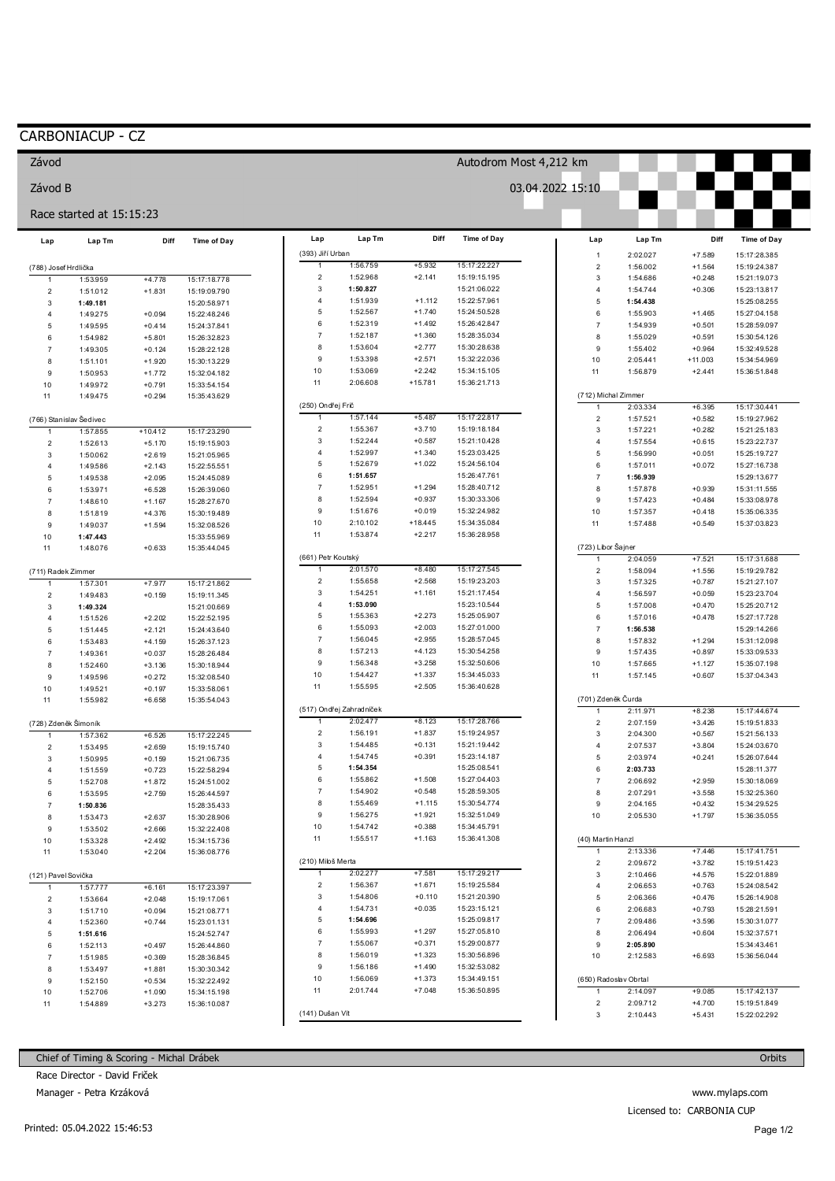## CARBONIACUP - CZ

Závod

| Závod B                              |                          |                      |                              |                     |                          |                      |                              | 03.04.2022 15:10 |                                     |                      |                      |                              |
|--------------------------------------|--------------------------|----------------------|------------------------------|---------------------|--------------------------|----------------------|------------------------------|------------------|-------------------------------------|----------------------|----------------------|------------------------------|
|                                      | Race started at 15:15:23 |                      |                              |                     |                          |                      |                              |                  |                                     |                      |                      |                              |
| Lap                                  | Lap Tm                   | Diff                 | <b>Time of Day</b>           | Lap                 | Lap Tm                   | Diff                 | <b>Time of Day</b>           |                  | Lap                                 | Lap Tm               | Diff                 | Time of Day                  |
|                                      |                          |                      |                              | (393) Jiří Urban    | 1:56.759                 | $+5.932$             | 15:17:22.227                 |                  | $\overline{1}$                      | 2:02.027             | $+7.589$             | 15:17:28.385                 |
| (788) Josef Hrdlička<br>$\mathbf{1}$ |                          |                      |                              | $\overline{c}$      | 1:52.968                 | $+2.141$             | 15:19:15.195                 |                  | $\sqrt{2}$<br>$\mathsf 3$           | 1:56.002<br>1:54.686 | $+1.564$<br>$+0.248$ | 15:19:24.387<br>15:21:19.073 |
| $\overline{2}$                       | 1:53.959<br>1:51.012     | $+4.778$<br>$+1.831$ | 15:17:18.778<br>15:19:09.790 | 3                   | 1:50.827                 |                      | 15:21:06.022                 |                  | $\overline{4}$                      | 1:54.744             | $+0.306$             | 15:23:13.817                 |
| $\mathbf{3}$                         | 1:49.181                 |                      | 15:20:58.971                 | $\overline{4}$      | 1:51.939                 | $+1.112$             | 15:22:57.961                 |                  | 5                                   | 1:54.438             |                      | 15:25:08.255                 |
| 4                                    | 1:49.275                 | $+0.094$             | 15:22:48.246                 | 5                   | 1:52.567                 | $+1.740$             | 15:24:50.528                 |                  | 6                                   | 1:55.903             | $+1.465$             | 15:27:04.158                 |
| 5                                    | 1:49.595                 | $+0.414$             | 15:24:37.841                 | $\,6\,$             | 1:52.319                 | $+1.492$             | 15:26:42.847                 |                  | $\overline{7}$                      | 1:54.939             | $+0.501$             | 15:28:59.097                 |
| 6                                    | 1:54.982                 | $+5.801$             | 15:26:32.823                 | $\overline{7}$      | 1:52.187                 | $+1.360$             | 15:28:35.034                 |                  | 8                                   | 1:55.029             | $+0.591$             | 15:30:54.126                 |
| $\overline{7}$                       | 1:49.305                 | $+0.124$             | 15:28:22.128                 | 8                   | 1:53.604                 | $+2.777$             | 15:30:28.638                 |                  | $\mathsf g$                         | 1:55.402             | $+0.964$             | 15:32:49.528                 |
| 8                                    | 1:51.101                 | $+1.920$             | 15:30:13.229                 | 9                   | 1:53.398                 | $+2.571$             | 15:32:22.036                 |                  | 10                                  | 2:05.441             | $+11.003$            | 15:34:54.969                 |
| 9                                    | 1:50.953                 | $+1.772$             | 15:32:04.182                 | 10                  | 1:53.069                 | $+2.242$             | 15:34:15.105                 |                  | 11                                  | 1:56.879             | $+2.441$             | 15:36:51.848                 |
| 10                                   | 1:49.972                 | $+0.791$             | 15:33:54.154                 | 11                  | 2:06.608                 | $+15.781$            | 15:36:21.713                 |                  |                                     |                      |                      |                              |
| 11                                   | 1:49.475                 | $+0.294$             | 15:35:43.629                 | (250) Ondřej Frič   |                          |                      |                              |                  | (712) Michal Zimmer<br>$\mathbf{1}$ |                      |                      | 15:17:30.441                 |
| (766) Stanislav Šedivec              |                          |                      |                              |                     | 1:57.144                 | $+5.487$             | 15:17:22.817                 |                  | $\sqrt{2}$                          | 2:03.334<br>1:57.521 | $+6.395$<br>$+0.582$ | 15:19:27.962                 |
| -1                                   | 1:57.855                 | $+10.412$            | 15:17:23.290                 | $\sqrt{2}$          | 1:55.367                 | $+3.710$             | 15:19:18.184                 |                  | 3                                   | 1:57.221             | $+0.282$             | 15:21:25.183                 |
| $\overline{2}$                       | 1:52.613                 | $+5.170$             | 15:19:15.903                 | 3                   | 1:52.244                 | $+0.587$             | 15:21:10.428                 |                  | $\overline{4}$                      | 1:57.554             | $+0.615$             | 15:23:22.737                 |
| 3                                    | 1:50.062                 | $+2.619$             | 15:21:05.965                 | $\overline{4}$      | 1:52.997                 | $+1.340$             | 15:23:03.425                 |                  | $\overline{5}$                      | 1:56.990             | $+0.051$             | 15:25:19.727                 |
| 4                                    | 1:49.586                 | $+2.143$             | 15:22:55.551                 | 5                   | 1:52.679                 | $+1.022$             | 15:24:56.104                 |                  | 6                                   | 1:57.011             | $+0.072$             | 15:27:16.738                 |
| 5                                    | 1:49.538                 | $+2.095$             | 15:24:45.089                 | $\,6\,$             | 1:51.657                 |                      | 15:26:47.761                 |                  | $\overline{7}$                      | 1:56.939             |                      | 15:29:13.677                 |
| 6                                    | 1:53.971                 | $+6.528$             | 15:26:39.060                 | $\overline{7}$      | 1:52.951                 | $+1.294$             | 15:28:40.712                 |                  | 8                                   | 1:57.878             | $+0.939$             | 15:31:11.555                 |
| $\overline{7}$                       | 1:48.610                 | $+1.167$             | 15:28:27.670                 | 8                   | 1:52.594                 | $+0.937$             | 15:30:33.306                 |                  | $\mathsf g$                         | 1:57.423             | $+0.484$             | 15:33:08.978                 |
| 8                                    | 1:51.819                 | $+4.376$             | 15:30:19.489                 | $9$                 | 1:51.676                 | $+0.019$             | 15:32:24.982                 |                  | 10                                  | 1:57.357             | $+0.418$             | 15:35:06.335                 |
| 9                                    | 1:49.037                 | $+1.594$             | 15:32:08.526                 | 10                  | 2:10.102                 | $+18.445$            | 15:34:35.084                 |                  | 11                                  | 1:57.488             | $+0.549$             | 15:37:03.823                 |
| 10                                   | 1:47.443                 |                      | 15:33:55.969                 | 11                  | 1:53.874                 | $+2.217$             | 15:36:28.958                 |                  |                                     |                      |                      |                              |
| 11                                   | 1:48.076                 | $+0.633$             | 15:35:44.045                 |                     |                          |                      |                              |                  | (723) Libor Šajner                  |                      |                      |                              |
|                                      |                          |                      |                              | (661) Petr Koutský  |                          |                      |                              |                  |                                     | 2:04.059             | $+7.521$             | 15:17:31.688                 |
| (711) Radek Zimmer                   |                          |                      |                              | -1<br>$\sqrt{2}$    | 2:01.570                 | $+8.480$             | 15:17:27.545                 |                  | $\overline{2}$                      | 1:58.094             | $+1.556$             | 15:19:29.782                 |
|                                      | 1:57.301                 | $+7.977$             | 15:17:21.862                 | 3                   | 1:55.658<br>1:54.251     | $+2.568$<br>$+1.161$ | 15:19:23.203<br>15:21:17.454 |                  | $\mathsf 3$                         | 1:57.325             | $+0.787$             | 15:21:27.107                 |
| $\mathbf 2$                          | 1:49.483                 | $+0.159$             | 15:19:11.345                 | $\overline{4}$      | 1:53.090                 |                      | 15:23:10.544                 |                  | $\overline{4}$<br>5                 | 1:56.597<br>1:57.008 | $+0.059$<br>$+0.470$ | 15:23:23.704<br>15:25:20.712 |
| 3<br>4                               | 1:49.324                 | $+2.202$             | 15:21:00.669                 | $\sqrt{5}$          | 1:55.363                 | $+2.273$             | 15:25:05.907                 |                  | 6                                   | 1:57.016             | $+0.478$             | 15:27:17.728                 |
| 5                                    | 1:51.526<br>1:51.445     | $+2.121$             | 15:22:52.195<br>15:24:43.640 | 6                   | 1:55.093                 | $+2.003$             | 15:27:01.000                 |                  | $\overline{7}$                      | 1:56.538             |                      | 15:29:14.266                 |
| 6                                    | 1:53.483                 | $+4.159$             | 15:26:37.123                 | $\overline{7}$      | 1:56.045                 | $+2.955$             | 15:28:57.045                 |                  | 8                                   | 1:57.832             | $+1.294$             | 15:31:12.098                 |
| $\overline{7}$                       | 1:49.361                 | $+0.037$             | 15:28:26.484                 | 8                   | 1:57.213                 | $+4.123$             | 15:30:54.258                 |                  | $\mathsf g$                         | 1:57.435             | $+0.897$             | 15:33:09.533                 |
| 8                                    | 1:52.460                 | $+3.136$             | 15:30:18.944                 | 9                   | 1:56.348                 | $+3.258$             | 15:32:50.606                 |                  | 10                                  | 1:57.665             | $+1.127$             | 15:35:07.198                 |
| 9                                    | 1:49.596                 | $+0.272$             | 15:32:08.540                 | 10                  | 1:54.427                 | $+1.337$             | 15:34:45.033                 |                  | 11                                  | 1:57.145             | $+0.607$             | 15:37:04.343                 |
| 10                                   | 1:49.521                 | $+0.197$             | 15:33:58.061                 | 11                  | 1:55.595                 | $+2.505$             | 15:36:40.628                 |                  |                                     |                      |                      |                              |
| 11                                   | 1:55.982                 | $+6.658$             | 15:35:54.043                 |                     |                          |                      |                              |                  | (701) Zdeněk Čurda                  |                      |                      |                              |
|                                      |                          |                      |                              |                     | (517) Ondřej Zahradníček |                      |                              |                  | 1                                   | 2:11.971             | $+8.238$             | 15:17:44.674                 |
| (728) Zdeněk Šimoník                 |                          |                      |                              | 1                   | 2:02.477                 | $+8.123$             | 15:17:28.766                 |                  | $\overline{\mathbf{c}}$             | 2:07.159             | $+3.426$             | 15:19:51.833                 |
|                                      | 1:57.362                 | $+6.526$             | 15:17:22.245                 | $\overline{2}$      | 1:56.191                 | $+1.837$             | 15:19:24.957                 |                  | 3                                   | 2:04.300             | $+0.567$             | 15:21:56.133                 |
| $\overline{2}$                       | 1:53.495                 | $+2.659$             | 15:19:15.740                 | $\mathsf 3$         | 1:54.485                 | $+0.131$             | 15:21:19.442                 |                  | $\overline{4}$                      | 2:07.537             | $+3.804$             | 15:24:03.670                 |
| 3                                    | 1:50.995                 | $+0.159$             | 15:21:06.735                 | $\overline{4}$<br>5 | 1:54.745<br>1:54.354     | $+0.391$             | 15:23:14.187<br>15:25:08.541 |                  | $\overline{5}$                      | 2:03.974             | $+0.241$             | 15:26:07.644                 |
| 4                                    | 1:51.559                 | $+0.723$             | 15:22:58.294                 | 6                   | 1:55.862                 | $+1.508$             | 15:27:04.403                 |                  | 6<br>$\overline{7}$                 | 2:03.733<br>2:06.692 |                      | 15:28:11.377                 |
| 5                                    | 1:52.708                 | $+1.872$             | 15:24:51.002                 | $\overline{7}$      | 1:54.902                 | $+0.548$             | 15:28:59.305                 |                  | 8                                   | 2:07.291             | $+2.959$<br>$+3.558$ | 15:30:18.069<br>15:32:25.360 |
| 6                                    | 1:53.595                 | $+2.759$             | 15:26:44.597                 | 8                   | 1:55.469                 | $+1.115$             | 15:30:54.774                 |                  | 9                                   | 2:04.165             | $+0.432$             | 15:34:29.525                 |
| 7<br>8                               | 1:50.836<br>1:53.473     | $+2.637$             | 15:28:35.433<br>15:30:28.906 | 9                   | 1:56.275                 | $+1.921$             | 15:32:51.049                 |                  | 10                                  | 2:05.530             | $+1.797$             | 15:36:35.055                 |
| $\boldsymbol{9}$                     | 1:53.502                 | $+2.666$             | 15:32:22.408                 | 10                  | 1:54.742                 | $+0.388$             | 15:34:45.791                 |                  |                                     |                      |                      |                              |
| 10                                   | 1:53.328                 | $+2.492$             | 15:34:15.736                 | 11                  | 1:55.517                 | $+1.163$             | 15:36:41.308                 |                  | (40) Martin Hanzl                   |                      |                      |                              |
| 11                                   | 1:53.040                 | $+2.204$             | 15:36:08.776                 |                     |                          |                      |                              |                  | 1                                   | 2:13.336             | $+7.446$             | 15:17:41.751                 |
|                                      |                          |                      |                              | (210) Miloš Merta   |                          |                      |                              |                  | $\overline{\mathbf{c}}$             | 2:09.672             | $+3.782$             | 15:19:51.423                 |
| (121) Pavel Sovička                  |                          |                      |                              | $\mathbf{1}$        | 2:02.277                 | $+7.581$             | 15:17:29.217                 |                  | 3                                   | 2:10.466             | $+4.576$             | 15:22:01.889                 |
|                                      | 1:57.777                 | $+6.161$             | 15:17:23.397                 | $\overline{c}$      | 1:56.367                 | $+1.671$             | 15:19:25.584                 |                  | 4                                   | 2:06.653             | $+0.763$             | 15:24:08.542                 |
| $\overline{2}$                       | 1:53.664                 | $+2.048$             | 15:19:17.061                 | 3                   | 1:54.806                 | $+0.110$             | 15:21:20.390                 |                  | 5                                   | 2:06.366             | $+0.476$             | 15:26:14.908                 |
| 3                                    | 1:51.710                 | $+0.094$             | 15:21:08.771                 | $\overline{4}$      | 1:54.731                 | $+0.035$             | 15:23:15.121                 |                  | 6                                   | 2:06.683             | $+0.793$             | 15:28:21.591                 |
| 4                                    | 1:52.360                 | $+0.744$             | 15:23:01.131                 | $\overline{5}$      | 1:54.696                 |                      | 15:25:09.817                 |                  | $\overline{7}$                      | 2:09.486             | $+3.596$             | 15:30:31.077                 |
| 5                                    | 1:51.616                 |                      | 15:24:52.747                 | 6                   | 1:55.993                 | $+1.297$             | 15:27:05.810                 |                  | 8                                   | 2:06.494             | $+0.604$             | 15:32:37.571                 |
| 6                                    | 1:52.113                 | $+0.497$             | 15:26:44.860                 | $\overline{7}$      | 1:55.067                 | $+0.371$             | 15:29:00.877                 |                  | 9                                   | 2:05.890             |                      | 15:34:43.461                 |
| $\overline{7}$                       | 1:51.985                 | $+0.369$             | 15:28:36.845                 | 8                   | 1:56.019                 | $+1.323$             | 15:30:56.896                 |                  | 10                                  | 2:12.583             | $+6.693$             | 15:36:56.044                 |
| 8                                    | 1:53.497                 | $+1.881$             | 15:30:30.342                 | $\boldsymbol{9}$    | 1:56.186                 | $+1.490$             | 15:32:53.082                 |                  |                                     |                      |                      |                              |
| 9                                    | 1:52.150                 | $+0.534$             | 15:32:22.492                 | 10                  | 1:56.069                 | $+1.373$             | 15:34:49.151                 |                  | (650) Radoslav Obrtal               |                      |                      |                              |
| 10                                   | 1:52.706                 | $+1.090$             | 15:34:15.198                 | 11                  | 2:01.744                 | $+7.048$             | 15:36:50.895                 |                  | $\mathbf{1}$                        | 2:14.097             | $+9.085$             | 15:17:42.137                 |
| 11                                   | 1:54.889                 | $+3.273$             | 15:36:10.087                 |                     |                          |                      |                              |                  | 2                                   | 2:09.712             | $+4.700$             | 15:19:51.849                 |
|                                      |                          |                      |                              | (141) Dušan Vít     |                          |                      |                              |                  | 3                                   | 2:10.443             | $+5.431$             | 15:22:02.292                 |

Autodrom Most 4,212 km

Chief of Timing & Scoring - Michal Drábek

Race Director - David Friček

Manager - Petra Krzáková

www.mylaps.com Licensed to: CARBONIA CUP

Orbits